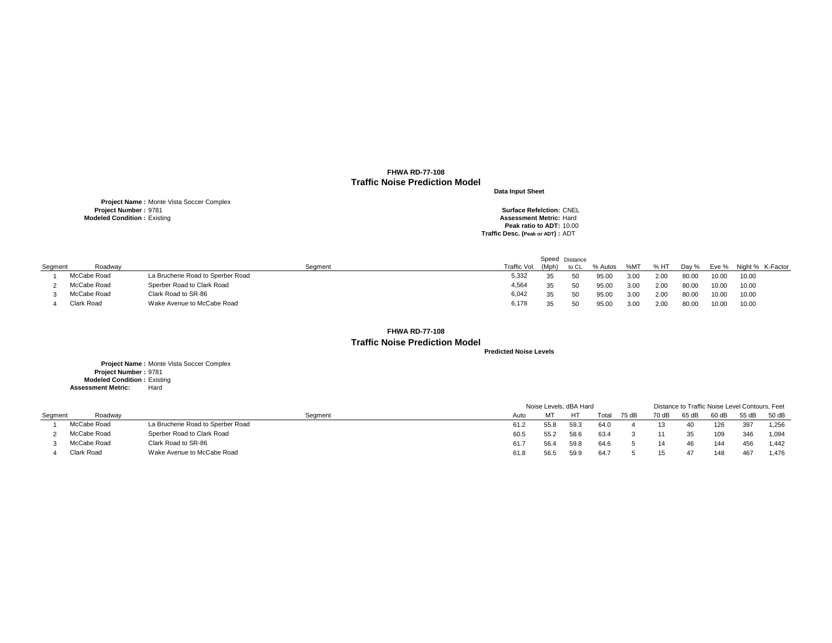**Project Name :** Monte Vista Soccer Complex **Project Number :** 9781 **Surface Refelction:** CNEL **Modeled Condition :** Existing **Assessment Metric:** Hard

**Peak ratio to ADT:** 10.00 **Traffic Desc. (Peak or ADT) :** ADT

**Predicted Noise Levels**

**Project Name :** Monte Vista Soccer Complex **Project Number :** 9781 **Modeled Condition :** Existing **Assessment Metric:** Hard

|         |                   |                                   |              |       | Speed Distance |         |      |         |       |       |                  |
|---------|-------------------|-----------------------------------|--------------|-------|----------------|---------|------|---------|-------|-------|------------------|
| Segment | Roadway           | Seament                           | Traffic Vol. | (Mph) | to CL          | % Autos | %MT  | $% H$ T | Dav % | Eve % | Night % K-Factor |
|         | McCabe Road       | La Brucherie Road to Sperber Road | 5,332        | 35    | 50             | 95.00   | 3.00 | 2.00    | 80.00 | 10.00 | 10.00            |
|         | McCabe Road       | Sperber Road to Clark Road        | 4,564        |       | 50             | 95.00   | 3.00 | 2.00    | 80.00 | 10.00 | 10.00            |
|         | McCabe Road       | Clark Road to SR-86               | 6,042        |       | 50             | 95.00   | 3.00 | 2.00    | 80.00 | 10.00 | 10.00            |
|         | <b>Clark Road</b> | Wake Avenue to McCabe Road        | 6,178        | 35.   | 50             | 95.00   | 3.00 | 2.00    | 80.00 | 10.00 | 10.00            |

|         |             |                                   |      | Noise Levels, dBA Hard |      |       |       |       | Distance to Traffic Noise Level Contours, Feet |       |       |       |
|---------|-------------|-----------------------------------|------|------------------------|------|-------|-------|-------|------------------------------------------------|-------|-------|-------|
| Segment | Roadway     | Segment                           | Auto | МТ                     | HT   | Total | 75 dB | 70 dB | 65 dB                                          | 60 dB | 55 dB | 50 dB |
|         | McCabe Road | La Brucherie Road to Sperber Road | 61.2 | 55.8                   | 59.3 | 64.0  |       |       | 40                                             | 126   | 397   | 1,256 |
|         | McCabe Road | Sperber Road to Clark Road        | 60.5 | 55.2                   | 58.6 | 63.4  |       |       |                                                | 109   | 346   | 1,094 |
|         | McCabe Road | Clark Road to SR-86               | 61.7 | 56.4                   | 59.8 | 64.6  |       |       | 46                                             | 144   | 456   | 1,442 |
|         | Clark Road  | Wake Avenue to McCabe Road        | 61.8 | 56.t                   | 59.9 | 64.7  |       |       | 47                                             | 148   | -467  | 1,476 |

- 
- 

## **FHWA RD-77-108 Traffic Noise Prediction Model**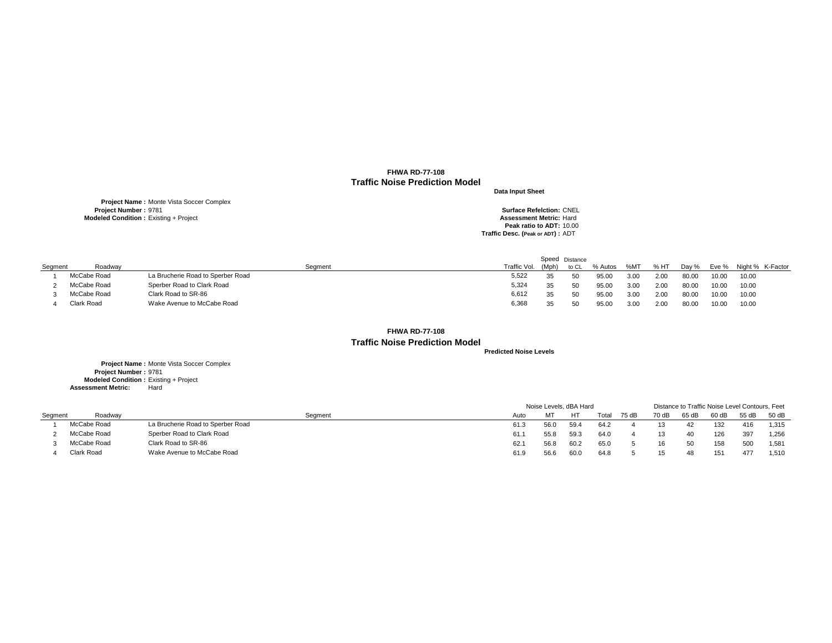**Project Name :** Monte Vista Soccer Complex **Project Number :** 9781 **Surface Refelction:** CNEL **Modeled Condition :** Existing + Project **Assessment Metric:** Hard

**Peak ratio to ADT:** 10.00 **Traffic Desc. (Peak or ADT) :** ADT

**Predicted Noise Levels**

**Project Name :** Monte Vista Soccer Complex **Project Number :** 9781 **Modeled Condition :** Existing + Project **Assessment Metric:** Hard

|         |                   |                                   |              |       | Speed Distance |         |      |         |       |       |                  |
|---------|-------------------|-----------------------------------|--------------|-------|----------------|---------|------|---------|-------|-------|------------------|
| Segment | Roadway           | Seament                           | Traffic Vol. | (Mph) | to CL          | % Autos | %MT  | $% H$ T | Day % | Eve % | Night % K-Factor |
|         | McCabe Road       | La Brucherie Road to Sperber Road | 5,522        |       | 50             | 95.00   | 3.00 | 2.00    | 80.OC | 10.00 | 10.00            |
|         | McCabe Road       | Sperber Road to Clark Road        | 5,324        | 35    | - 50           | 95.00   | 3.00 | 2.00    | 80.00 | 10.00 | 10.00            |
|         | McCabe Road       | Clark Road to SR-86               | 6,612        | 35    | 50             | 95.OC   | 3.00 | 2.00    | 80.00 | 10.00 | 10.00            |
|         | <b>Clark Road</b> | Wake Avenue to McCabe Road        | 6,368        | 35    | 50             | 95.OC   | 3.00 | 2.00    | 80.OC | 10.00 | 10.00            |

|         |             |                                   |      | Noise Levels, dBA Hard |      |       |       |       |       | Distance to Traffic Noise Level Contours, Feet |       |       |  |  |  |  |  |
|---------|-------------|-----------------------------------|------|------------------------|------|-------|-------|-------|-------|------------------------------------------------|-------|-------|--|--|--|--|--|
| Segment | Roadway     | Seament                           | Auto | MT.                    | HТ   | Total | 75 dB | 70 dB | 65 dB | $60$ dB                                        | 55 dB | 50 dB |  |  |  |  |  |
|         | McCabe Road | La Brucherie Road to Sperber Road | 61.3 | 56.0                   | 59.4 | 64.2  |       |       | 42    | 132                                            | 416   | 1,315 |  |  |  |  |  |
|         | McCabe Road | Sperber Road to Clark Road        | 61.1 | 55.8                   | 59.3 | 64.0  |       |       | 40    | 126                                            | 397   | 1,256 |  |  |  |  |  |
|         | McCabe Road | Clark Road to SR-86               | 62.1 | 56.8                   | 60.2 | 65.0  |       | 16    | 50    | 158                                            | 500   | 1,581 |  |  |  |  |  |
|         | Clark Road  | Wake Avenue to McCabe Road        | 61.9 | 56.6                   | 60.0 | 64.8  |       |       | 48    | 151                                            | 477   | 1,510 |  |  |  |  |  |

- 
- 

**FHWA RD-77-108 Traffic Noise Prediction Model**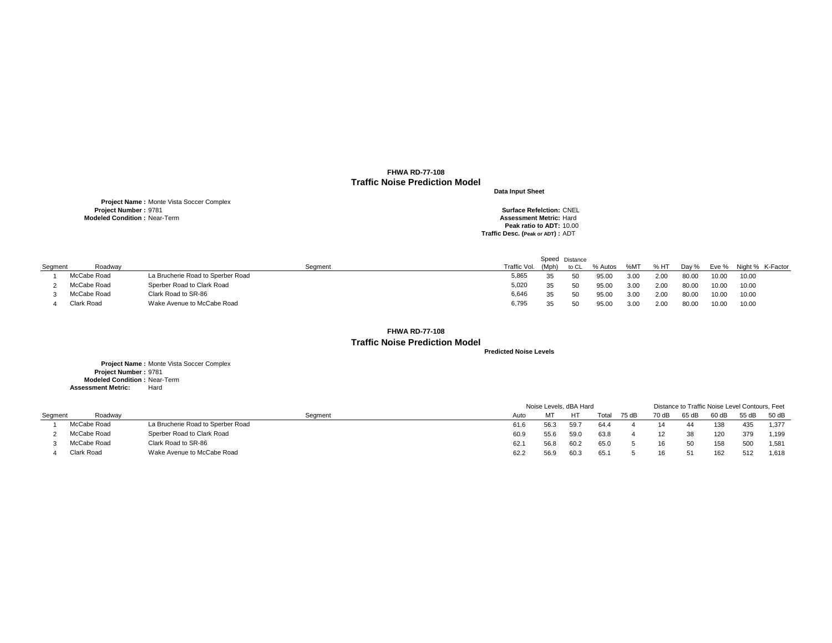**Project Name :** Monte Vista Soccer Complex **Project Number :** 9781 **Surface Refelction:** CNEL **Modeled Condition :** Near-Term **Assessment Metric:** Hard

**Peak ratio to ADT:** 10.00 **Traffic Desc. (Peak or ADT) :** ADT

**Project Name :** Monte Vista Soccer Complex **Project Number :** 9781 **Modeled Condition : Near-Term**<br> **essment Metric:** Hard **Assessment Metric:** 

**Predicted Noise Levels**

|         |                   |                                   |              |       | Speed Distance |         |      |         |       |       |                  |
|---------|-------------------|-----------------------------------|--------------|-------|----------------|---------|------|---------|-------|-------|------------------|
| Segment | Roadway           | Seament                           | Traffic Vol. | (Mph) | to CL          | % Autos | %MT  | $% H$ T | Day % | Eve % | Night % K-Factor |
|         | McCabe Road       | La Brucherie Road to Sperber Road | 5,865        | 35    | 50             | 95.00   | 3.00 | 2.00    | 80.00 | 10.00 | 10.00            |
|         | McCabe Road       | Sperber Road to Clark Road        | 5,020        | 35    | 50             | 95.00   | 3.00 | 2.00    | 80.00 | 10.00 | 10.00            |
|         | McCabe Road       | Clark Road to SR-86               | 6,646        |       | 50             | 95.00   | 3.00 | 2.00    | 80.00 | 10.00 | 10.00            |
|         | <b>Clark Road</b> | Wake Avenue to McCabe Road        | 6,795        |       | 50             | 95.00   | 3.00 | 2.00    | 80.00 | 10.00 | 10.00            |

|         |             |                                   |      |      | Noise Levels, dBA Hard |       |       |       | Distance to Traffic Noise Level Contours, Feet |      |       |         |
|---------|-------------|-----------------------------------|------|------|------------------------|-------|-------|-------|------------------------------------------------|------|-------|---------|
| Segment | Roadway     | Segment                           | Auto |      | HT                     | Total | 75 dB | 70 dB | 65 dB                                          | 60dB | 55 dB | $50$ dB |
|         | McCabe Road | La Brucherie Road to Sperber Road | 61.6 | 56.3 | 59.7                   | 64.4  |       |       |                                                | 138  | 435   | 1,377   |
|         | McCabe Road | Sperber Road to Clark Road        | 60.9 | 55.6 | 59.0                   | 63.8  |       |       | 38                                             | 120  | 379   | 1,199   |
|         | McCabe Road | Clark Road to SR-86               | 62.1 | 56.8 | 60.2                   | 65.0  |       | 16.   | -50                                            | 158  | 500   | 1,581   |
|         | Clark Road  | Wake Avenue to McCabe Road        | 62.2 | 56.9 | 60.3                   | 65.1  |       |       | 51                                             | 162  | 512   | 1,618   |

- 
- 

**FHWA RD-77-108 Traffic Noise Prediction Model**